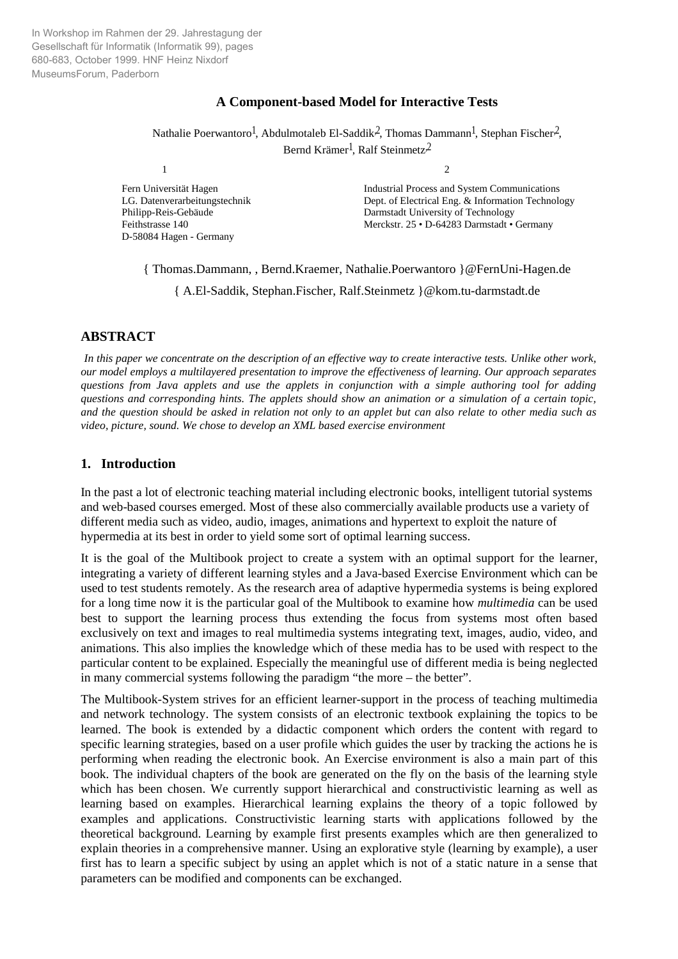In Workshop im Rahmen der 29. Jahrestagung der Gesellschaft für Informatik (Informatik 99), pages 680-683, October 1999. HNF Heinz Nixdorf MuseumsForum, Paderborn

# **A Component-based Model for Interactive Tests**

Nathalie Poerwantoro<sup>1</sup>, Abdulmotaleb El-Saddik<sup>2</sup>, Thomas Dammann<sup>1</sup>, Stephan Fischer<sup>2</sup>, Bernd Krämer<sup>1</sup>, Ralf Steinmetz<sup>2</sup>

D-58084 Hagen - Germany

1 2

Fern Universität Hagen<br>
LG. Datenverarbeitungstechnik<br>
Dept. of Electrical Eng. & Information Technolo Dept. of Electrical Eng. & Information Technology Philipp-Reis-Gebäude Darmstadt University of Technology Feithstrasse 140 Merckstr. 25 • D-64283 Darmstadt • Germany

{ Thomas.Dammann, , Bernd.Kraemer, Nathalie.Poerwantoro }@FernUni-Hagen.de

{ A.El-Saddik, Stephan.Fischer, Ralf.Steinmetz }@kom.tu-darmstadt.de

# **ABSTRACT**

*In this paper we concentrate on the description of an effective way to create interactive tests. Unlike other work, our model employs a multilayered presentation to improve the effectiveness of learning. Our approach separates questions from Java applets and use the applets in conjunction with a simple authoring tool for adding questions and corresponding hints. The applets should show an animation or a simulation of a certain topic, and the question should be asked in relation not only to an applet but can also relate to other media such as video, picture, sound. We chose to develop an XML based exercise environment*

# **1. Introduction**

In the past a lot of electronic teaching material including electronic books, intelligent tutorial systems and web-based courses emerged. Most of these also commercially available products use a variety of different media such as video, audio, images, animations and hypertext to exploit the nature of hypermedia at its best in order to yield some sort of optimal learning success.

It is the goal of the Multibook project to create a system with an optimal support for the learner, integrating a variety of different learning styles and a Java-based Exercise Environment which can be used to test students remotely. As the research area of adaptive hypermedia systems is being explored for a long time now it is the particular goal of the Multibook to examine how *multimedia* can be used best to support the learning process thus extending the focus from systems most often based exclusively on text and images to real multimedia systems integrating text, images, audio, video, and animations. This also implies the knowledge which of these media has to be used with respect to the particular content to be explained. Especially the meaningful use of different media is being neglected in many commercial systems following the paradigm "the more – the better".

The Multibook-System strives for an efficient learner-support in the process of teaching multimedia and network technology. The system consists of an electronic textbook explaining the topics to be learned. The book is extended by a didactic component which orders the content with regard to specific learning strategies, based on a user profile which guides the user by tracking the actions he is performing when reading the electronic book. An Exercise environment is also a main part of this book. The individual chapters of the book are generated on the fly on the basis of the learning style which has been chosen. We currently support hierarchical and constructivistic learning as well as learning based on examples. Hierarchical learning explains the theory of a topic followed by examples and applications. Constructivistic learning starts with applications followed by the theoretical background. Learning by example first presents examples which are then generalized to explain theories in a comprehensive manner. Using an explorative style (learning by example), a user first has to learn a specific subject by using an applet which is not of a static nature in a sense that parameters can be modified and components can be exchanged.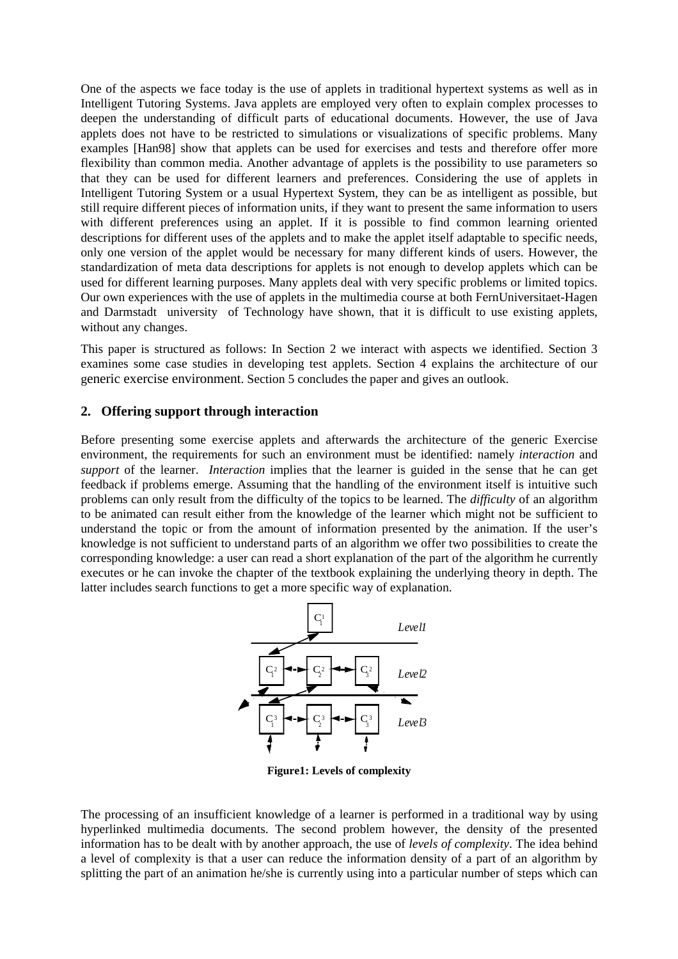One of the aspects we face today is the use of applets in traditional hypertext systems as well as in Intelligent Tutoring Systems. Java applets are employed very often to explain complex processes to deepen the understanding of difficult parts of educational documents. However, the use of Java applets does not have to be restricted to simulations or visualizations of specific problems. Many examples [Han98] show that applets can be used for exercises and tests and therefore offer more flexibility than common media. Another advantage of applets is the possibility to use parameters so that they can be used for different learners and preferences. Considering the use of applets in Intelligent Tutoring System or a usual Hypertext System, they can be as intelligent as possible, but still require different pieces of information units, if they want to present the same information to users with different preferences using an applet. If it is possible to find common learning oriented descriptions for different uses of the applets and to make the applet itself adaptable to specific needs, only one version of the applet would be necessary for many different kinds of users. However, the standardization of meta data descriptions for applets is not enough to develop applets which can be used for different learning purposes. Many applets deal with very specific problems or limited topics. Our own experiences with the use of applets in the multimedia course at both FernUniversitaet-Hagen and Darmstadt university of Technology have shown, that it is difficult to use existing applets, without any changes.

This paper is structured as follows: In Section 2 we interact with aspects we identified. Section 3 examines some case studies in developing test applets. Section 4 explains the architecture of our generic exercise environment. Section 5 concludes the paper and gives an outlook.

# **2. Offering support through interaction**

Before presenting some exercise applets and afterwards the architecture of the generic Exercise environment, the requirements for such an environment must be identified: namely *interaction* and *support* of the learner. *Interaction* implies that the learner is guided in the sense that he can get feedback if problems emerge. Assuming that the handling of the environment itself is intuitive such problems can only result from the difficulty of the topics to be learned. The *difficulty* of an algorithm to be animated can result either from the knowledge of the learner which might not be sufficient to understand the topic or from the amount of information presented by the animation. If the user's knowledge is not sufficient to understand parts of an algorithm we offer two possibilities to create the corresponding knowledge: a user can read a short explanation of the part of the algorithm he currently executes or he can invoke the chapter of the textbook explaining the underlying theory in depth. The latter includes search functions to get a more specific way of explanation.



**Figure1: Levels of complexity**

The processing of an insufficient knowledge of a learner is performed in a traditional way by using hyperlinked multimedia documents. The second problem however, the density of the presented information has to be dealt with by another approach, the use of *levels of complexity*. The idea behind a level of complexity is that a user can reduce the information density of a part of an algorithm by splitting the part of an animation he/she is currently using into a particular number of steps which can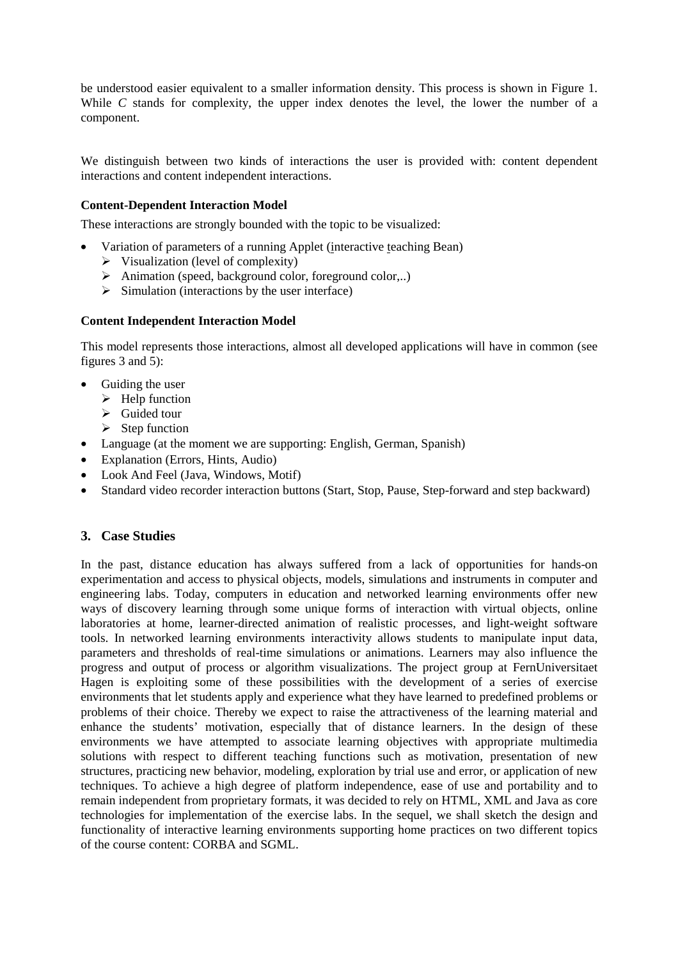be understood easier equivalent to a smaller information density. This process is shown in Figure 1. While *C* stands for complexity, the upper index denotes the level, the lower the number of a component.

We distinguish between two kinds of interactions the user is provided with: content dependent interactions and content independent interactions.

# **Content-Dependent Interaction Model**

These interactions are strongly bounded with the topic to be visualized:

- Variation of parameters of a running Applet (interactive teaching Bean)
	- $\triangleright$  Visualization (level of complexity)
	- $\triangleright$  Animation (speed, background color, foreground color,..)
	- $\triangleright$  Simulation (interactions by the user interface)

## **Content Independent Interaction Model**

This model represents those interactions, almost all developed applications will have in common (see figures 3 and 5):

- Guiding the user
	- $\triangleright$  Help function
	- $\triangleright$  Guided tour
	- $\triangleright$  Step function
- Language (at the moment we are supporting: English, German, Spanish)
- Explanation (Errors, Hints, Audio)
- Look And Feel (Java, Windows, Motif)
- Standard video recorder interaction buttons (Start, Stop, Pause, Step-forward and step backward)

# **3. Case Studies**

In the past, distance education has always suffered from a lack of opportunities for hands-on experimentation and access to physical objects, models, simulations and instruments in computer and engineering labs. Today, computers in education and networked learning environments offer new ways of discovery learning through some unique forms of interaction with virtual objects, online laboratories at home, learner-directed animation of realistic processes, and light-weight software tools. In networked learning environments interactivity allows students to manipulate input data, parameters and thresholds of real-time simulations or animations. Learners may also influence the progress and output of process or algorithm visualizations. The project group at FernUniversitaet Hagen is exploiting some of these possibilities with the development of a series of exercise environments that let students apply and experience what they have learned to predefined problems or problems of their choice. Thereby we expect to raise the attractiveness of the learning material and enhance the students' motivation, especially that of distance learners. In the design of these environments we have attempted to associate learning objectives with appropriate multimedia solutions with respect to different teaching functions such as motivation, presentation of new structures, practicing new behavior, modeling, exploration by trial use and error, or application of new techniques. To achieve a high degree of platform independence, ease of use and portability and to remain independent from proprietary formats, it was decided to rely on HTML, XML and Java as core technologies for implementation of the exercise labs. In the sequel, we shall sketch the design and functionality of interactive learning environments supporting home practices on two different topics of the course content: CORBA and SGML.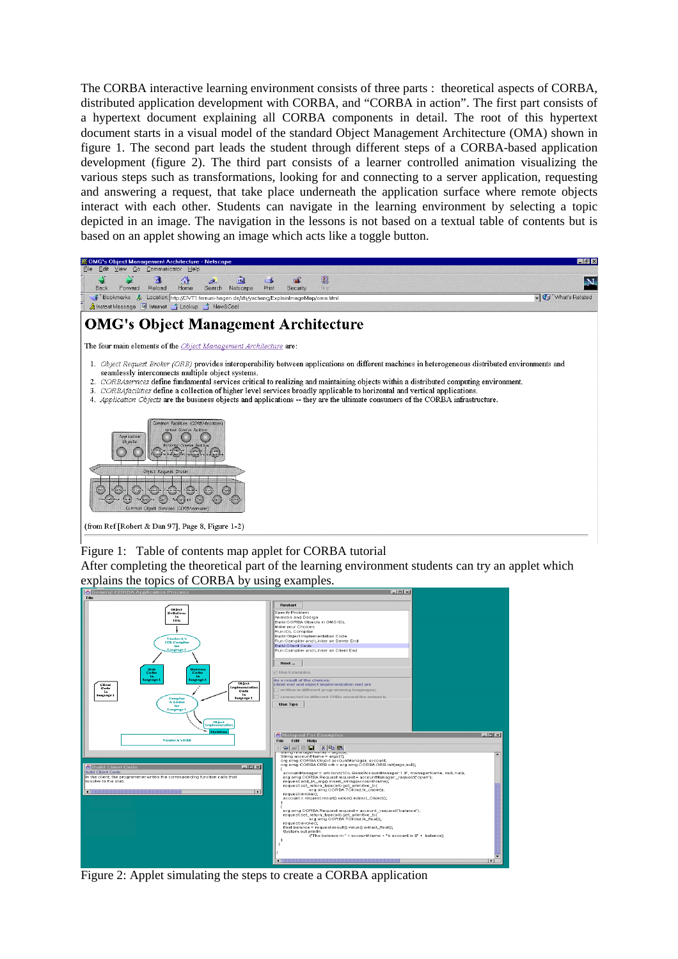The CORBA interactive learning environment consists of three parts : theoretical aspects of CORBA, distributed application development with CORBA, and "CORBA in action". The first part consists of a hypertext document explaining all CORBA components in detail. The root of this hypertext document starts in a visual model of the standard Object Management Architecture (OMA) shown in figure 1. The second part leads the student through different steps of a CORBA-based application development (figure 2). The third part consists of a learner controlled animation visualizing the various steps such as transformations, looking for and connecting to a server application, requesting and answering a request, that take place underneath the application surface where remote objects interact with each other. Students can navigate in the learning environment by selecting a topic depicted in an image. The navigation in the lessons is not based on a textual table of contents but is based on an applet showing an image which acts like a toggle button.



## Figure 1: Table of contents map applet for CORBA tutorial

After completing the theoretical part of the learning environment students can try an applet which explains the topics of CORBA by using examples.



Figure 2: Applet simulating the steps to create a CORBA application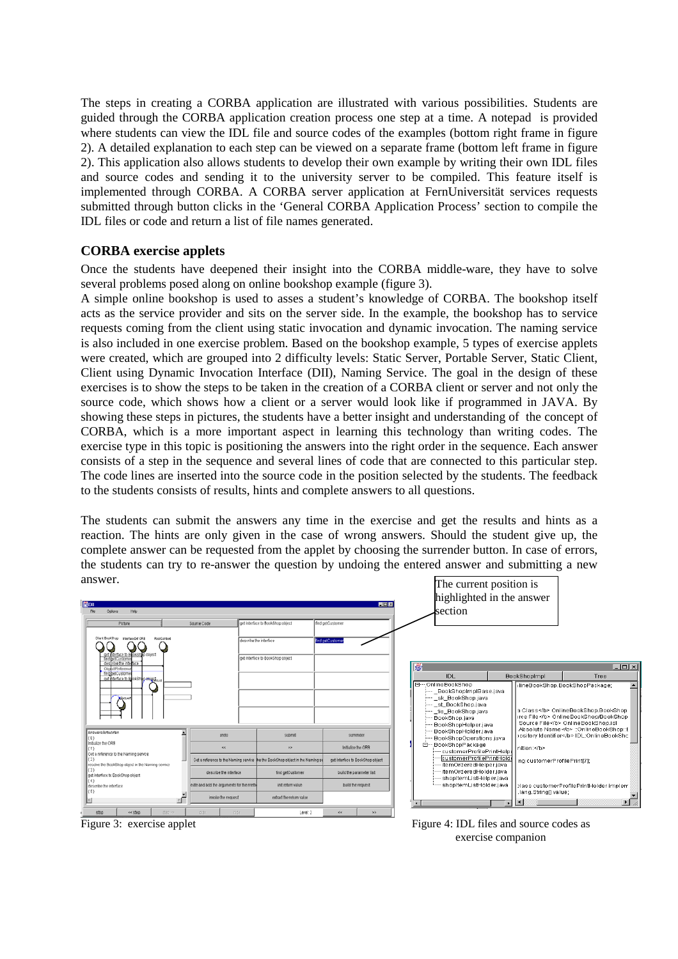The steps in creating a CORBA application are illustrated with various possibilities. Students are guided through the CORBA application creation process one step at a time. A notepad is provided where students can view the IDL file and source codes of the examples (bottom right frame in figure 2). A detailed explanation to each step can be viewed on a separate frame (bottom left frame in figure 2). This application also allows students to develop their own example by writing their own IDL files and source codes and sending it to the university server to be compiled. This feature itself is implemented through CORBA. A CORBA server application at FernUniversität services requests submitted through button clicks in the 'General CORBA Application Process' section to compile the IDL files or code and return a list of file names generated.

# **CORBA exercise applets**

Once the students have deepened their insight into the CORBA middle-ware, they have to solve several problems posed along on online bookshop example (figure 3).

A simple online bookshop is used to asses a student's knowledge of CORBA. The bookshop itself acts as the service provider and sits on the server side. In the example, the bookshop has to service requests coming from the client using static invocation and dynamic invocation. The naming service is also included in one exercise problem. Based on the bookshop example, 5 types of exercise applets were created, which are grouped into 2 difficulty levels: Static Server, Portable Server, Static Client, Client using Dynamic Invocation Interface (DII), Naming Service. The goal in the design of these exercises is to show the steps to be taken in the creation of a CORBA client or server and not only the source code, which shows how a client or a server would look like if programmed in JAVA. By showing these steps in pictures, the students have a better insight and understanding of the concept of CORBA, which is a more important aspect in learning this technology than writing codes. The exercise type in this topic is positioning the answers into the right order in the sequence. Each answer consists of a step in the sequence and several lines of code that are connected to this particular step. The code lines are inserted into the source code in the position selected by the students. The feedback to the students consists of results, hints and complete answers to all questions.

The students can submit the answers any time in the exercise and get the results and hints as a reaction. The hints are only given in the case of wrong answers. Should the student give up, the complete answer can be requested from the applet by choosing the surrender button. In case of errors, the students can try to re-answer the question by undoing the entered answer and submitting a new answer.



Figure 3: exercise applet Figure 4: IDL files and source codes as exercise companion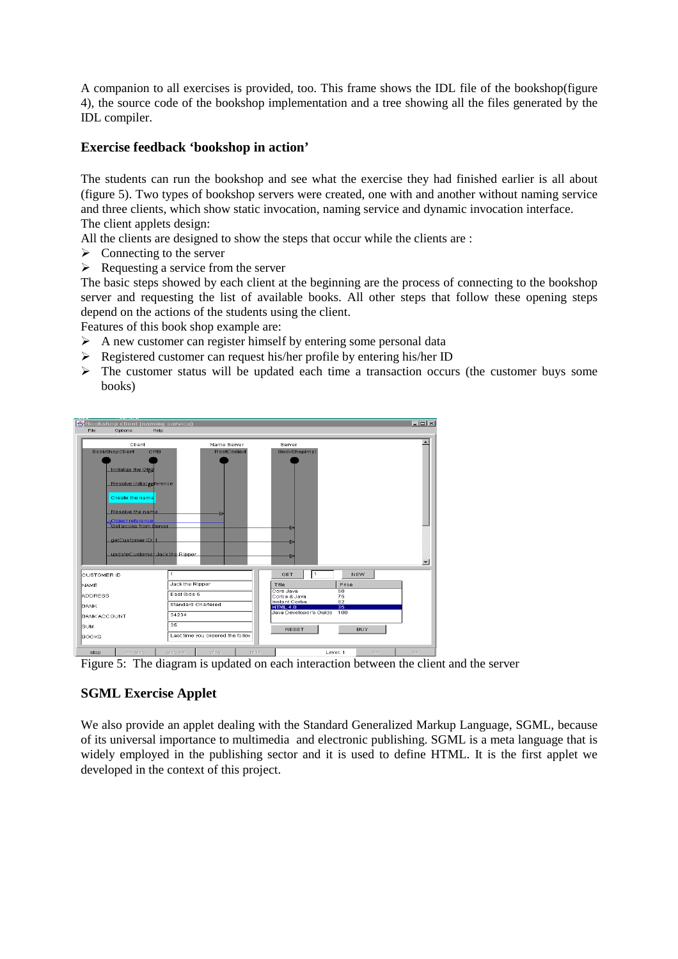A companion to all exercises is provided, too. This frame shows the IDL file of the bookshop(figure 4), the source code of the bookshop implementation and a tree showing all the files generated by the IDL compiler.

# **Exercise feedback 'bookshop in action'**

The students can run the bookshop and see what the exercise they had finished earlier is all about (figure 5). Two types of bookshop servers were created, one with and another without naming service and three clients, which show static invocation, naming service and dynamic invocation interface. The client applets design:

All the clients are designed to show the steps that occur while the clients are :

- $\triangleright$  Connecting to the server
- $\triangleright$  Requesting a service from the server

The basic steps showed by each client at the beginning are the process of connecting to the bookshop server and requesting the list of available books. All other steps that follow these opening steps depend on the actions of the students using the client.

Features of this book shop example are:

- $\triangleright$  A new customer can register himself by entering some personal data
- $\triangleright$  Registered customer can request his/her profile by entering his/her ID
- $\triangleright$  The customer status will be updated each time a transaction occurs (the customer buys some books)



Figure 5: The diagram is updated on each interaction between the client and the server

# **SGML Exercise Applet**

We also provide an applet dealing with the Standard Generalized Markup Language, SGML, because of its universal importance to multimedia and electronic publishing. SGML is a meta language that is widely employed in the publishing sector and it is used to define HTML. It is the first applet we developed in the context of this project.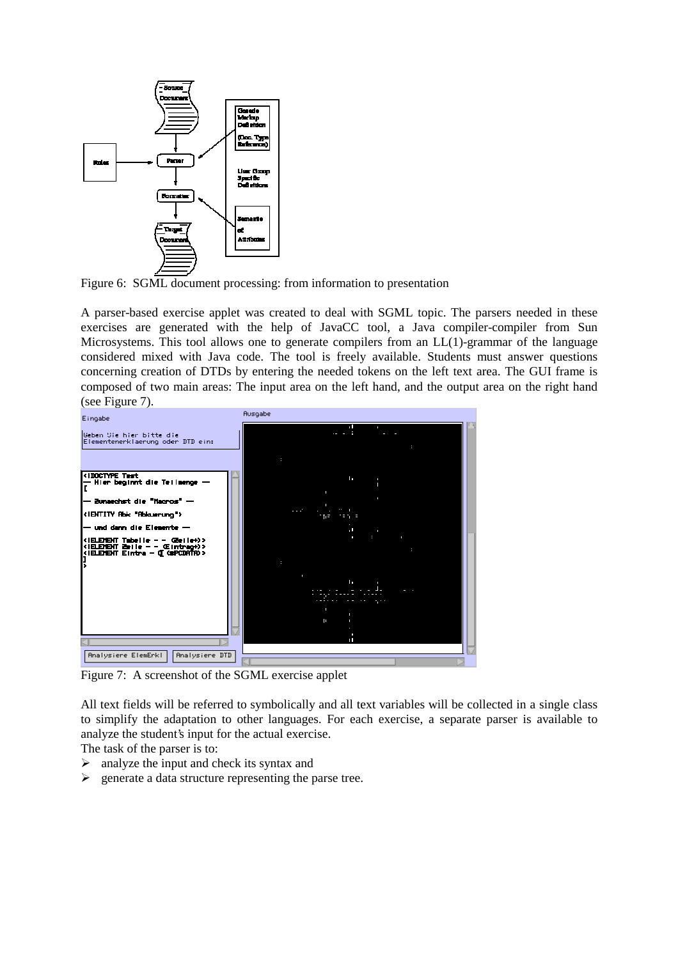

Figure 6: SGML document processing: from information to presentation

A parser-based exercise applet was created to deal with SGML topic. The parsers needed in these exercises are generated with the help of JavaCC tool, a Java compiler-compiler from Sun Microsystems. This tool allows one to generate compilers from an LL(1)-grammar of the language considered mixed with Java code. The tool is freely available. Students must answer questions concerning creation of DTDs by entering the needed tokens on the left text area. The GUI frame is composed of two main areas: The input area on the left hand, and the output area on the right hand (see Figure 7).

| Eingabe                                                          | Ausgabe                                                         |  |
|------------------------------------------------------------------|-----------------------------------------------------------------|--|
|                                                                  | een en aan is bestaan die s                                     |  |
| lGeben Sie hier bitte die                                        | - American base of                                              |  |
| Elementenerklaerung oder DTD ein:                                | - Decent cried Thill color (-- Code Hone                        |  |
|                                                                  |                                                                 |  |
|                                                                  | ‡‡¤ILErInt≉¤¤                                                   |  |
| (IDOCTYPE Test                                                   | $E = 1$ $E$<br>### InstradTab shimsgars: ###                    |  |
| -- Hier beginnt die Teilmenge --                                 | standmans entire dance recor                                    |  |
|                                                                  | a san asses unbera<br>www.community.com/community/industry.com/ |  |
| -- Bunaechst die "Macros" --                                     | a trajectory of the theory and                                  |  |
| ENTITY Rbk "Rbkaerung"                                           | $100 - 1414 = 1111 =$<br>(1001) 11011-1205 - 1010               |  |
|                                                                  | $\pm$ = $\pm$ $\pm$ $\pm$ $\pm$ $\pm$ $\pm$ $\pm$<br>$+ + -$    |  |
| -- und dann die Elemente --                                      | is emect token                                                  |  |
| (IELEMENT Tabelle – – Gerie+)>                                   | Senaric Id: Elitrag                                             |  |
| (IELEMENT Zeile - - Œintrag+)><br>(ILEMENT Eintra - O GOPCDATA)) | Decumence Indicator: [Scorrenc                                  |  |
|                                                                  | 14                                                              |  |
|                                                                  | जीत में महत्त्वपाल क                                            |  |
|                                                                  | $=$ in $\sim$ 1.<br>### InstradTab shimsgars: ###               |  |
|                                                                  | Utanthank enund dan invent                                      |  |
|                                                                  | a san asses unbera<br>-- Endormetrics mg liting                 |  |
|                                                                  | probably supported to the probably                              |  |
|                                                                  | $100 - 1411 + 1111 =$<br>0001 1101 - 104 - 000                  |  |
|                                                                  | ままに<br>十七七<br><b>STATE OF STREET</b>                            |  |
|                                                                  | tim ti es Llemett Is-en.<br>H111                                |  |
|                                                                  |                                                                 |  |
| Hnalysiere ElemErkl<br>Hnalysiere DTD                            |                                                                 |  |
|                                                                  |                                                                 |  |

Figure 7: A screenshot of the SGML exercise applet

All text fields will be referred to symbolically and all text variables will be collected in a single class to simplify the adaptation to other languages. For each exercise, a separate parser is available to analyze the student's input for the actual exercise.

The task of the parser is to:

- $\triangleright$  analyze the input and check its syntax and
- $\triangleright$  generate a data structure representing the parse tree.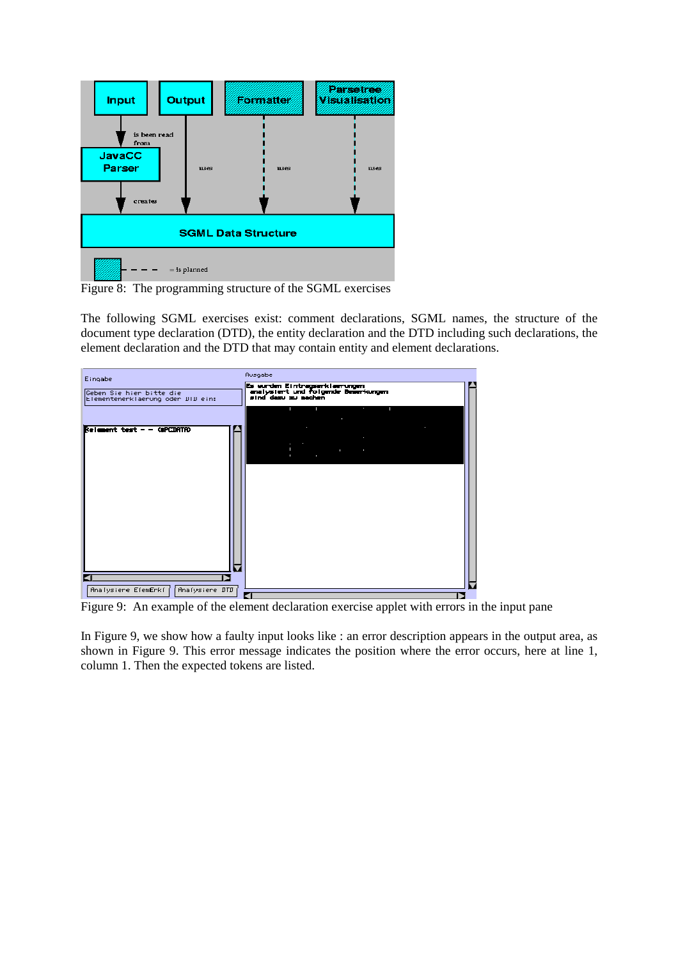

Figure 8: The programming structure of the SGML exercises

The following SGML exercises exist: comment declarations, SGML names, the structure of the document type declaration (DTD), the entity declaration and the DTD including such declarations, the element declaration and the DTD that may contain entity and element declarations.

| Eingabe                                                                                                                                                                                                                                                                                                                                                                                                                                                                                                                                                     | Ausgabe                                                                                                                                                                                                                                                                                                     |
|-------------------------------------------------------------------------------------------------------------------------------------------------------------------------------------------------------------------------------------------------------------------------------------------------------------------------------------------------------------------------------------------------------------------------------------------------------------------------------------------------------------------------------------------------------------|-------------------------------------------------------------------------------------------------------------------------------------------------------------------------------------------------------------------------------------------------------------------------------------------------------------|
| lGeben Sie hier bitte die<br>Elementenerklaerung oder DTD ein:                                                                                                                                                                                                                                                                                                                                                                                                                                                                                              | (Es wurden Eintragserklaerungen<br>analysiert und folgende Bemerkungen<br>sind dazu zu machen.                                                                                                                                                                                                              |
|                                                                                                                                                                                                                                                                                                                                                                                                                                                                                                                                                             | JULI FEH ER EETH ANAL STESEN FSKAN TIJL<br>Ben Beckere Jen on ">                                                                                                                                                                                                                                            |
| $\textbf{Relement test} \textcolor{red}{\textbf{--}} \textcolor{red}{\textbf{--}} \textcolor{red}{\textbf{--}} \textcolor{red}{\textbf{--}} \textcolor{red}{\textbf{--}} \textcolor{red}{\textbf{--}} \textcolor{red}{\textbf{--}} \textcolor{red}{\textbf{--}} \textcolor{red}{\textbf{--}} \textcolor{red}{\textbf{--}} \textcolor{red}{\textbf{--}} \textcolor{red}{\textbf{--}} \textcolor{red}{\textbf{--}} \textcolor{red}{\textbf{--}} \textcolor{red}{\textbf{--}} \textcolor{red}{\textbf{--}} \textcolor{red}{\textbf{--}} \textcolor{red}{\text$ | Subscribe and protectional contemporary protections are all pro-<br>$+ + -$<br>ici :<br>LT<br>lara da sang araw a lisa nasa na<br>$\Delta \sim$<br>$-0.311 - 0.011$<br>nia.<br>Historia<br>Three lines are competition on the still that if <u>a final co</u> un<br>The machinery of the country<br>$+ + -$ |
|                                                                                                                                                                                                                                                                                                                                                                                                                                                                                                                                                             |                                                                                                                                                                                                                                                                                                             |
|                                                                                                                                                                                                                                                                                                                                                                                                                                                                                                                                                             |                                                                                                                                                                                                                                                                                                             |

Figure 9: An example of the element declaration exercise applet with errors in the input pane

In Figure 9, we show how a faulty input looks like : an error description appears in the output area, as shown in Figure 9. This error message indicates the position where the error occurs, here at line 1, column 1. Then the expected tokens are listed.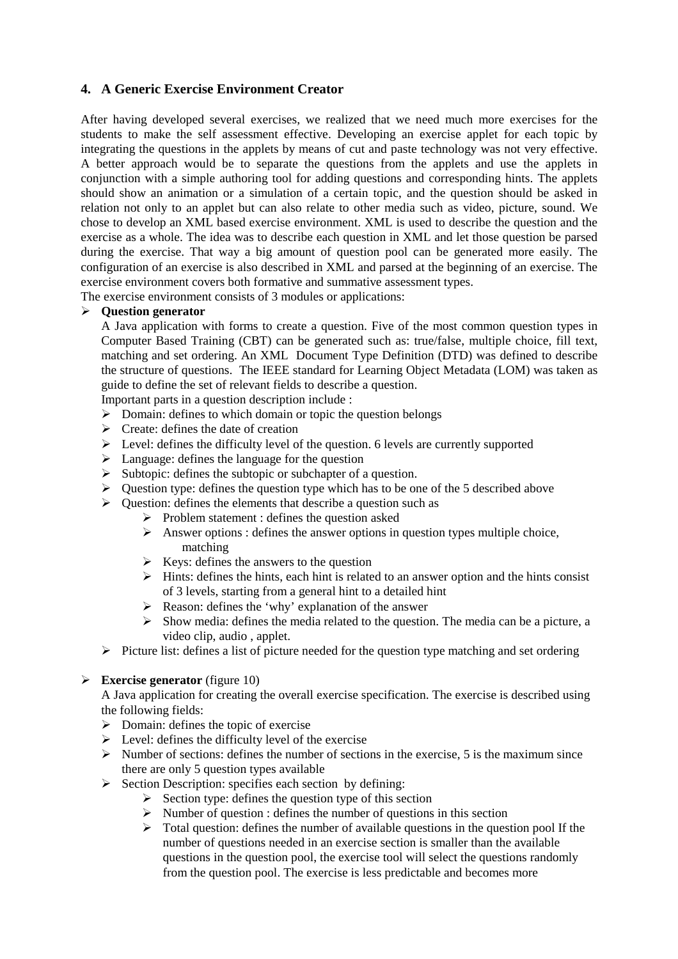# **4. A Generic Exercise Environment Creator**

After having developed several exercises, we realized that we need much more exercises for the students to make the self assessment effective. Developing an exercise applet for each topic by integrating the questions in the applets by means of cut and paste technology was not very effective. A better approach would be to separate the questions from the applets and use the applets in conjunction with a simple authoring tool for adding questions and corresponding hints. The applets should show an animation or a simulation of a certain topic, and the question should be asked in relation not only to an applet but can also relate to other media such as video, picture, sound. We chose to develop an XML based exercise environment. XML is used to describe the question and the exercise as a whole. The idea was to describe each question in XML and let those question be parsed during the exercise. That way a big amount of question pool can be generated more easily. The configuration of an exercise is also described in XML and parsed at the beginning of an exercise. The exercise environment covers both formative and summative assessment types.

The exercise environment consists of 3 modules or applications:

# **Question generator**

A Java application with forms to create a question. Five of the most common question types in Computer Based Training (CBT) can be generated such as: true/false, multiple choice, fill text, matching and set ordering. An XML Document Type Definition (DTD) was defined to describe the structure of questions. The IEEE standard for Learning Object Metadata (LOM) was taken as guide to define the set of relevant fields to describe a question.

Important parts in a question description include :

- $\triangleright$  Domain: defines to which domain or topic the question belongs
- $\triangleright$  Create: defines the date of creation
- $\triangleright$  Level: defines the difficulty level of the question. 6 levels are currently supported
- $\triangleright$  Language: defines the language for the question
- $\triangleright$  Subtopic: defines the subtopic or subchapter of a question.
- $\triangleright$  Question type: defines the question type which has to be one of the 5 described above
- $\triangleright$  Question: defines the elements that describe a question such as
	- $\triangleright$  Problem statement : defines the question asked
	- $\triangleright$  Answer options : defines the answer options in question types multiple choice, matching
	- $\triangleright$  Keys: defines the answers to the question
	- $\triangleright$  Hints: defines the hints, each hint is related to an answer option and the hints consist of 3 levels, starting from a general hint to a detailed hint
	- $\triangleright$  Reason: defines the 'why' explanation of the answer
	- $\triangleright$  Show media: defines the media related to the question. The media can be a picture, a video clip, audio , applet.
- $\triangleright$  Picture list: defines a list of picture needed for the question type matching and set ordering

# **Exercise generator** (figure 10)

A Java application for creating the overall exercise specification. The exercise is described using the following fields:

- $\triangleright$  Domain: defines the topic of exercise
- $\triangleright$  Level: defines the difficulty level of the exercise
- $\triangleright$  Number of sections: defines the number of sections in the exercise, 5 is the maximum since there are only 5 question types available
- $\triangleright$  Section Description: specifies each section by defining:
	- $\triangleright$  Section type: defines the question type of this section
	- $\triangleright$  Number of question : defines the number of questions in this section
	- $\triangleright$  Total question: defines the number of available questions in the question pool If the number of questions needed in an exercise section is smaller than the available questions in the question pool, the exercise tool will select the questions randomly from the question pool. The exercise is less predictable and becomes more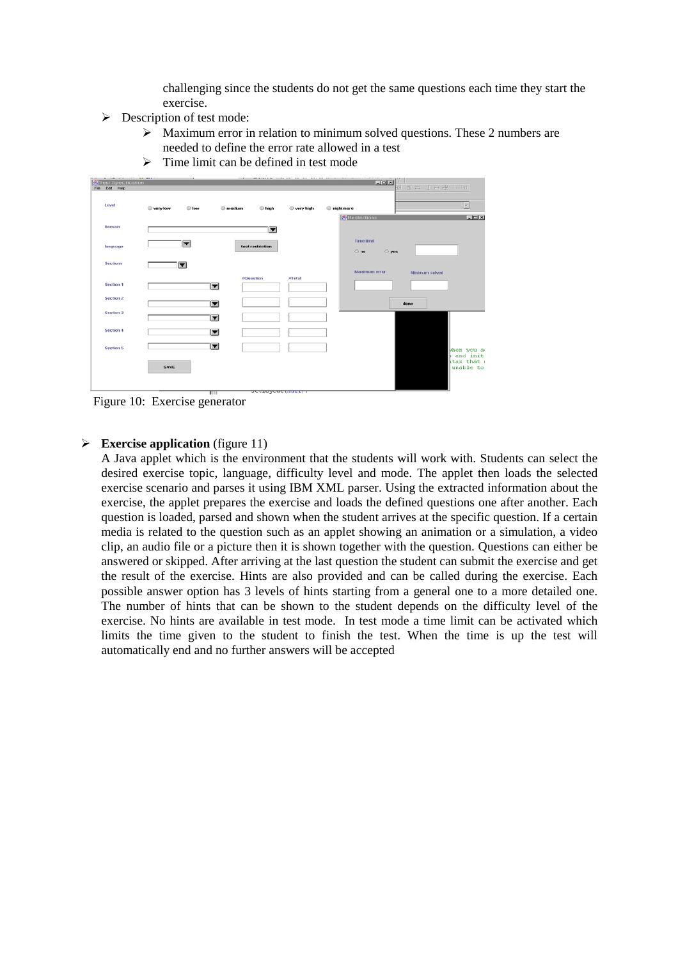challenging since the students do not get the same questions each time they start the exercise.

- $\triangleright$  Description of test mode:
	- $\triangleright$  Maximum error in relation to minimum solved questions. These 2 numbers are needed to define the error rate allowed in a test
	- $\triangleright$  Time limit can be defined in test mode

| Test Specification | __                  |                                     |           | $L = 1$                                        |
|--------------------|---------------------|-------------------------------------|-----------|------------------------------------------------|
| File Edit Help     |                     |                                     |           | <b>回 # 8 (1) 日銀     9  </b>                    |
| Level              | $@$ low<br>wery low | $•$ medium<br><b>■</b> high         | wery high | $\overline{\mathbf{r}}$<br><b>●</b> nightmare  |
| Domain             |                     | $\blacksquare$                      |           | <b>Restrictions</b><br>$L = 10X$               |
| language           | $\blacksquare$      | test restriction                    |           | <b>Time limit</b><br>$\bigcirc$ no<br>$~<$ yes |
| <b>Sections</b>    | $\blacksquare$      |                                     |           | Maximum error<br>Minimum solved                |
| Section 1          |                     | #Question<br>$\blacktriangledown$   | #Total    |                                                |
| Section 2          |                     | $\blacksquare$                      |           | done                                           |
| Section 3          |                     | $\overline{\phantom{a}}$            |           |                                                |
| <b>Section 4</b>   |                     | $\overline{\phantom{a}}$            |           |                                                |
| Section 5          |                     | $\overline{\phantom{a}}$            |           | when you a<br>and init.                        |
|                    | SAVE                |                                     |           | stax that a<br>unable to                       |
|                    |                     | Scenaryone (Huss) 7<br><b>TILLE</b> |           |                                                |

Figure 10: Exercise generator

## **Exercise application** (figure 11)

A Java applet which is the environment that the students will work with. Students can select the desired exercise topic, language, difficulty level and mode. The applet then loads the selected exercise scenario and parses it using IBM XML parser. Using the extracted information about the exercise, the applet prepares the exercise and loads the defined questions one after another. Each question is loaded, parsed and shown when the student arrives at the specific question. If a certain media is related to the question such as an applet showing an animation or a simulation, a video clip, an audio file or a picture then it is shown together with the question. Questions can either be answered or skipped. After arriving at the last question the student can submit the exercise and get the result of the exercise. Hints are also provided and can be called during the exercise. Each possible answer option has 3 levels of hints starting from a general one to a more detailed one. The number of hints that can be shown to the student depends on the difficulty level of the exercise. No hints are available in test mode. In test mode a time limit can be activated which limits the time given to the student to finish the test. When the time is up the test will automatically end and no further answers will be accepted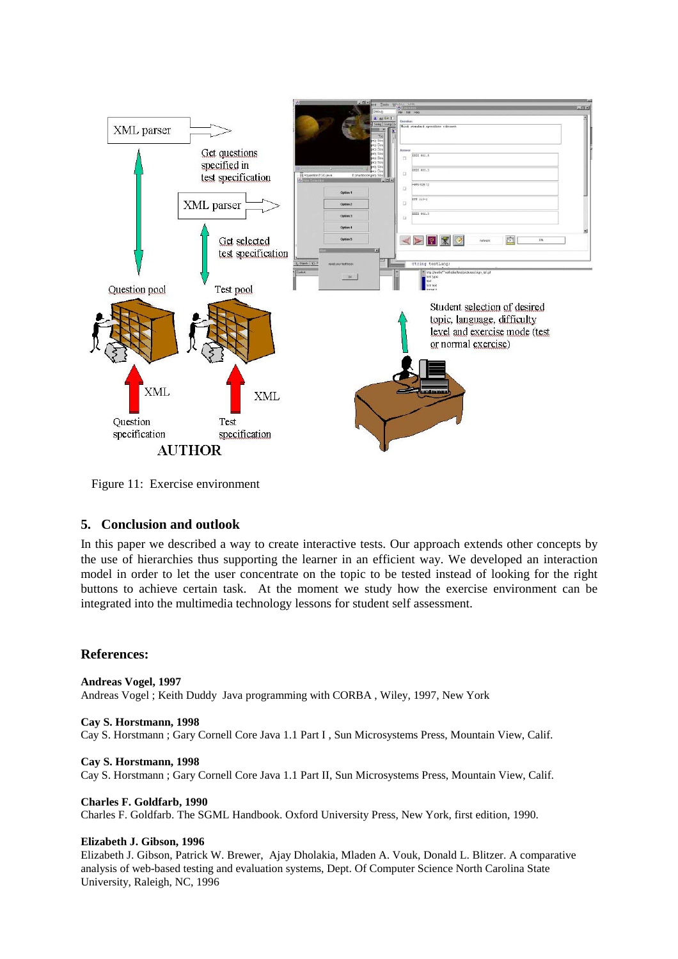

Figure 11: Exercise environment

# **5. Conclusion and outlook**

In this paper we described a way to create interactive tests. Our approach extends other concepts by the use of hierarchies thus supporting the learner in an efficient way. We developed an interaction model in order to let the user concentrate on the topic to be tested instead of looking for the right buttons to achieve certain task. At the moment we study how the exercise environment can be integrated into the multimedia technology lessons for student self assessment.

## **References:**

**Andreas Vogel, 1997** Andreas Vogel ; Keith Duddy Java programming with CORBA , Wiley, 1997, New York

**Cay S. Horstmann, 1998** Cay S. Horstmann ; Gary Cornell Core Java 1.1 Part I , Sun Microsystems Press, Mountain View, Calif.

**Cay S. Horstmann, 1998** Cay S. Horstmann ; Gary Cornell Core Java 1.1 Part II, Sun Microsystems Press, Mountain View, Calif.

**Charles F. Goldfarb, 1990** Charles F. Goldfarb. The SGML Handbook. Oxford University Press, New York, first edition, 1990.

## **Elizabeth J. Gibson, 1996**

Elizabeth J. Gibson, Patrick W. Brewer, Ajay Dholakia, Mladen A. Vouk, Donald L. Blitzer. A comparative analysis of web-based testing and evaluation systems, Dept. Of Computer Science North Carolina State University, Raleigh, NC, 1996